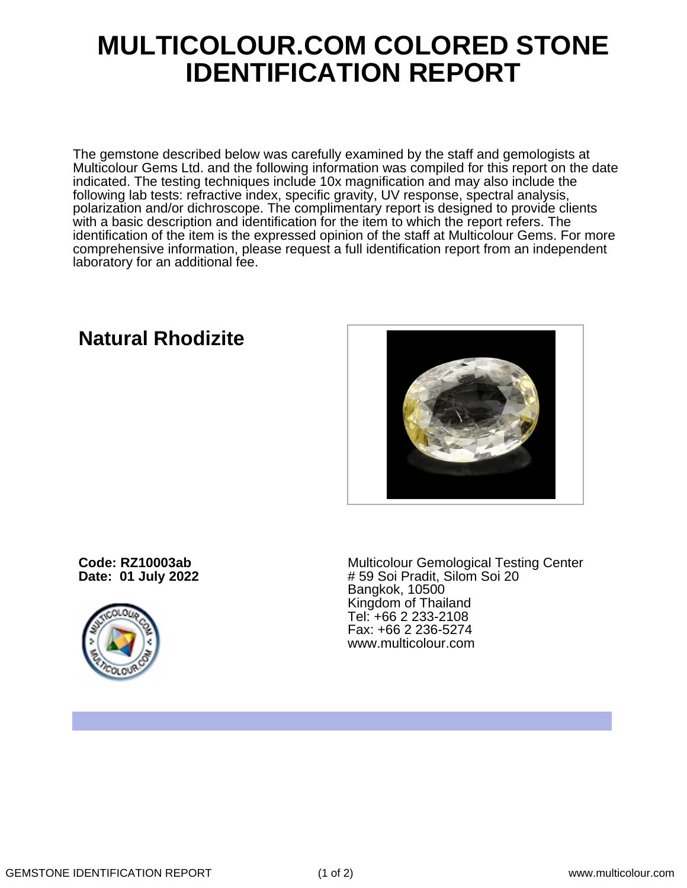## **MULTICOLOUR.COM COLORED STONE IDENTIFICATION REPORT**

The gemstone described below was carefully examined by the staff and gemologists at Multicolour Gems Ltd. and the following information was compiled for this report on the date indicated. The testing techniques include 10x magnification and may also include the following lab tests: refractive index, specific gravity, UV response, spectral analysis, polarization and/or dichroscope. The complimentary report is designed to provide clients with a basic description and identification for the item to which the report refers. The identification of the item is the expressed opinion of the staff at Multicolour Gems. For more comprehensive information, please request a full identification report from an independent laboratory for an additional fee.

## **Natural Rhodizite**



**Code: RZ10003ab Date: 01 July 2022**



Multicolour Gemological Testing Center # 59 Soi Pradit, Silom Soi 20 Bangkok, 10500 Kingdom of Thailand Tel: +66 2 233-2108 Fax: +66 2 236-5274 www.multicolour.com